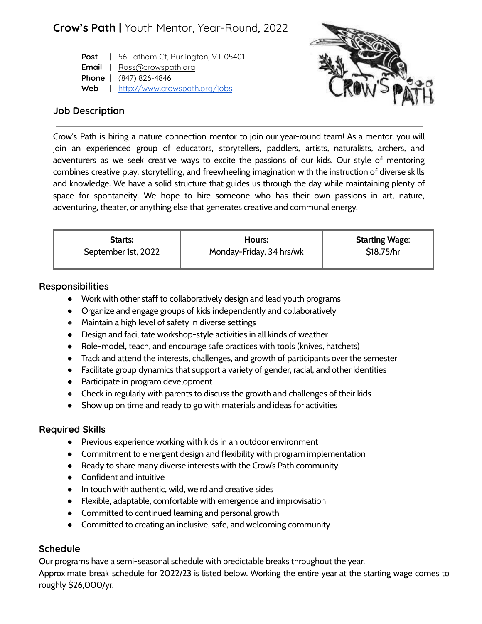# **Crow's Path |** Youth Mentor, Year-Round, 2022

**Post |** 56 Latham Ct, Burlington, VT 05401 **Email |** Ross@crowspath.org **Phone |** (847) 826-4846 **Web |** <http://www.crowspath.org/jobs>



### **Job Description**

Crow's Path is hiring a nature connection mentor to join our year-round team! As a mentor, you will join an experienced group of educators, storytellers, paddlers, artists, naturalists, archers, and adventurers as we seek creative ways to excite the passions of our kids. Our style of mentoring combines creative play, storytelling, and freewheeling imagination with the instruction of diverse skills and knowledge. We have a solid structure that guides us through the day while maintaining plenty of space for spontaneity. We hope to hire someone who has their own passions in art, nature, adventuring, theater, or anything else that generates creative and communal energy.

| <b>Starts:</b>      | Hours:                   | <b>Starting Wage:</b> |
|---------------------|--------------------------|-----------------------|
| September 1st, 2022 | Monday-Friday, 34 hrs/wk | \$18.75/hr            |

#### **Responsibilities**

- Work with other staff to collaboratively design and lead youth programs
- Organize and engage groups of kids independently and collaboratively
- Maintain a high level of safety in diverse settings
- Design and facilitate workshop-style activities in all kinds of weather
- Role-model, teach, and encourage safe practices with tools (knives, hatchets)
- Track and attend the interests, challenges, and growth of participants over the semester
- Facilitate group dynamics that support a variety of gender, racial, and other identities
- Participate in program development
- Check in regularly with parents to discuss the growth and challenges of their kids
- Show up on time and ready to go with materials and ideas for activities

#### **Required Skills**

- Previous experience working with kids in an outdoor environment
- Commitment to emergent design and flexibility with program implementation
- Ready to share many diverse interests with the Crow's Path community
- Confident and intuitive
- In touch with authentic, wild, weird and creative sides
- Flexible, adaptable, comfortable with emergence and improvisation
- Committed to continued learning and personal growth
- Committed to creating an inclusive, safe, and welcoming community

# **Schedule**

Our programs have a semi-seasonal schedule with predictable breaks throughout the year. Approximate break schedule for 2022/23 is listed below. Working the entire year at the starting wage comes to roughly \$26,000/yr.